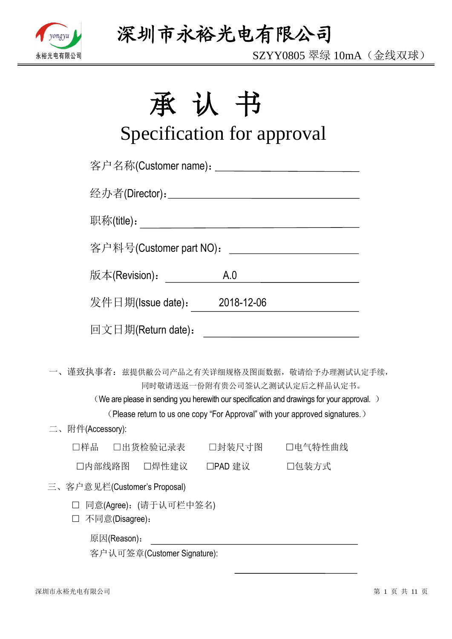

SZYY0805 翠绿 10mA(金线双球)

# 承认书

# Specification for approval

|                  | 客户名称(Customer name): ______________________________ |               |                                                                                                                                                                                                                                                           |
|------------------|-----------------------------------------------------|---------------|-----------------------------------------------------------------------------------------------------------------------------------------------------------------------------------------------------------------------------------------------------------|
|                  |                                                     |               |                                                                                                                                                                                                                                                           |
|                  |                                                     |               |                                                                                                                                                                                                                                                           |
|                  | 客户料号(Customer part NO): __________________________  |               |                                                                                                                                                                                                                                                           |
|                  | 版本(Revision).                                       | A.0           |                                                                                                                                                                                                                                                           |
|                  | 发件日期(Issue date): 2018-12-06                        |               |                                                                                                                                                                                                                                                           |
|                  | 回文日期(Return date):                                  |               |                                                                                                                                                                                                                                                           |
|                  |                                                     |               | 一、谨致执事者: 兹提供敝公司产品之有关详细规格及图面数据, 敬请给予办理测试认定手续,<br>同时敬请送返一份附有贵公司签认之测试认定后之样品认定书。<br>(We are please in sending you herewith our specification and drawings for your approval.)<br>(Please return to us one copy "For Approval" with your approved signatures.) |
| 二、附件(Accessory): |                                                     |               |                                                                                                                                                                                                                                                           |
|                  | □样品 □出货检验记录表 □封装尺寸图 □电气特性曲线                         |               |                                                                                                                                                                                                                                                           |
|                  | 口内部线路图 口焊性建议                                        | □PAD 建议 □包装方式 |                                                                                                                                                                                                                                                           |
|                  | 三、客户意见栏(Customer's Proposal)                        |               |                                                                                                                                                                                                                                                           |
|                  | □ 同意(Agree): (请于认可栏中签名)<br>不同意(Disagree):           |               |                                                                                                                                                                                                                                                           |
|                  | 原因(Reason):                                         |               |                                                                                                                                                                                                                                                           |

客户认可签章(Customer Signature):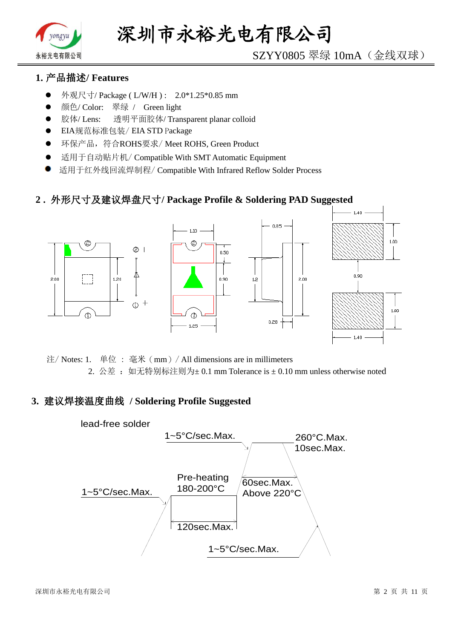

# SZYY0805 翠绿 10mA(金线双球)

# **1.** 产品描述**/ Features**

- 外观尺寸/ Package ( L/W/H ) : 2.0\*1.25\*0.85 mm
- 颜色/ Color: 翠绿 / Green light
- 胶体/ Lens: 透明平面胶体/ Transparent planar colloid
- EIA规范标准包装/ EIA STD Package
- **●** 环保产品,符合ROHS要求/Meet ROHS, Green Product
- 适用于自动贴片机/ Compatible With SMT Automatic Equipment
- 适用于红外线回流焊制程/ Compatible With Infrared Reflow Solder Process

## **2 .** 外形尺寸及建议焊盘尺寸**/ Package Profile & Soldering PAD Suggested**



注/ Notes: 1. 单位 : 毫米(mm)/ All dimensions are in millimeters 2. 公差: 如无特别标注则为±0.1 mm Tolerance is ±0.10 mm unless otherwise noted

## **3.** 建议焊接温度曲线 **/ Soldering Profile Suggested**

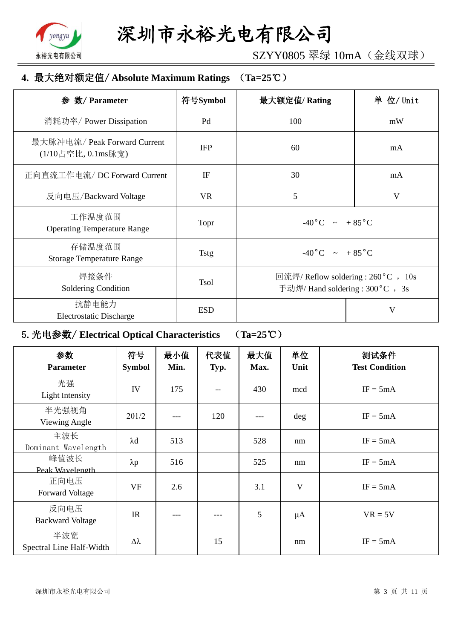

SZYY0805 翠绿 10mA(金线双球)

# **4.** 最大绝对额定值/ **Absolute Maximum Ratings** (**Ta=25**℃)

| 数/ Parameter<br>参                                  | 符号Symbol    | 最大额定值/Rating                                                             | 单 位/ Unit |
|----------------------------------------------------|-------------|--------------------------------------------------------------------------|-----------|
| 消耗功率/ Power Dissipation                            | Pd          | 100                                                                      | mW        |
| 最大脉冲电流/ Peak Forward Current<br>(1/10占空比, 0.1ms脉宽) | <b>IFP</b>  | 60                                                                       | mA        |
| 正向直流工作电流/DC Forward Current                        | IF          | 30                                                                       | mA        |
| 反向电压/Backward Voltage                              | <b>VR</b>   | 5                                                                        | V         |
| 工作温度范围<br><b>Operating Temperature Range</b>       | Topr        | $-40\degree C$ ~ +85 $\degree C$                                         |           |
| 存储温度范围<br><b>Storage Temperature Range</b>         | <b>Tstg</b> | $-40\degree C$ $\sim +85\degree C$                                       |           |
| 焊接条件<br>Soldering Condition                        | <b>Tsol</b> | 回流焊/ Reflow soldering : 260 °C , 10s<br>手动焊/ Hand soldering : 300 °C, 3s |           |
| 抗静电能力<br><b>Electrostatic Discharge</b>            | <b>ESD</b>  | V                                                                        |           |

# 5.光电参数/ **Electrical Optical Characteristics** (**Ta=25**℃)

| 参数<br><b>Parameter</b>          | 符号<br><b>Symbol</b> | 最小值<br>Min. | 代表值<br>Typ. | 最大值<br>Max. | 单位<br>Unit | 测试条件<br><b>Test Condition</b> |
|---------------------------------|---------------------|-------------|-------------|-------------|------------|-------------------------------|
| 光强<br>Light Intensity           | IV                  | 175         |             | 430         | mcd        | $IF = 5mA$                    |
| 半光强视角<br>Viewing Angle          | $2\theta$ 1/2       |             | 120         |             | deg        | $IF = 5mA$                    |
| 主波长<br>Dominant Wavelength      | $\lambda$ d         | 513         |             | 528         | nm         | $IF = 5mA$                    |
| 峰值波长<br>Peak Wavelength         | $\lambda p$         | 516         |             | 525         | nm         | $IF = 5mA$                    |
| 正向电压<br><b>Forward Voltage</b>  | <b>VF</b>           | 2.6         |             | 3.1         | V          | $IF = 5mA$                    |
| 反向电压<br><b>Backward Voltage</b> | IR                  | ---         |             | 5           | $\mu A$    | $VR = 5V$                     |
| 半波宽<br>Spectral Line Half-Width | $\Delta \lambda$    |             | 15          |             | nm         | $IF = 5mA$                    |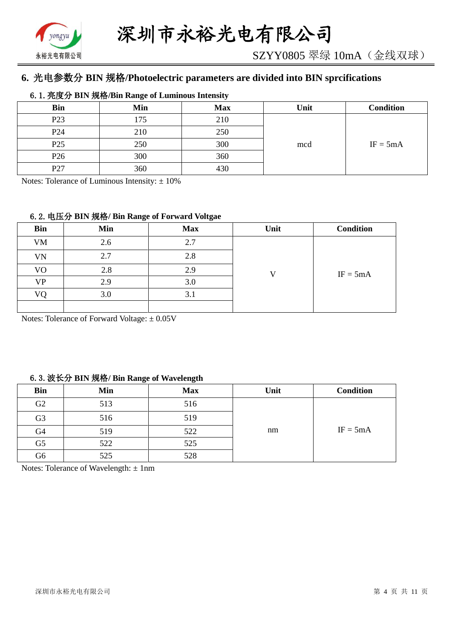

# **6.** 光电参数分 **BIN** 规格**/Photoelectric parameters are divided into BIN sprcifications**

#### 6.1.亮度分 **BIN** 规格**/Bin Range of Luminous Intensity**

| <b>Bin</b>      | Min | <b>Max</b> | Unit | <b>Condition</b> |
|-----------------|-----|------------|------|------------------|
| P <sub>23</sub> | 175 | 210        |      |                  |
| P <sub>24</sub> | 210 | 250        |      |                  |
| P <sub>25</sub> | 250 | 300        | mcd  | $IF = 5mA$       |
| P <sub>26</sub> | 300 | 360        |      |                  |
| P27             | 360 | 430        |      |                  |

Notes: Tolerance of Luminous Intensity:  $\pm 10\%$ 

#### 6.2.电压分 **BIN** 规格**/ Bin Range of Forward Voltgae**

| <b>Bin</b> | Min | <b>Max</b> | Unit | <b>Condition</b> |
|------------|-----|------------|------|------------------|
| <b>VM</b>  | 2.6 | 2.7        |      |                  |
| VN         | 2.7 | 2.8        |      |                  |
| VO         | 2.8 | 2.9        |      | $IF = 5mA$       |
| <b>VP</b>  | 2.9 | 3.0        |      |                  |
| VO         | 3.0 | 3.1        |      |                  |
|            |     |            |      |                  |

Notes: Tolerance of Forward Voltage: ±0.05V

#### 6.3.波长分 **BIN** 规格**/ Bin Range of Wavelength**

| <b>Bin</b>     | Min | <b>Max</b> | Unit | <b>Condition</b> |
|----------------|-----|------------|------|------------------|
| G2             | 513 | 516        |      |                  |
| G <sub>3</sub> | 516 | 519        |      |                  |
| G4             | 519 | 522        | nm   | $IF = 5mA$       |
| G <sub>5</sub> | 522 | 525        |      |                  |
| G6             | 525 | 528        |      |                  |

Notes: Tolerance of Wavelength: ±1nm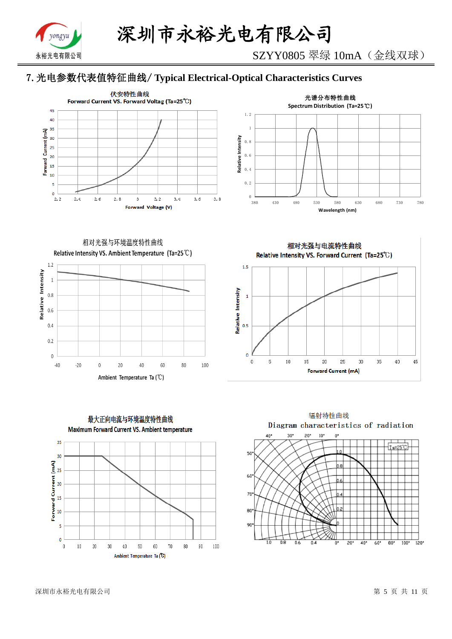

SZYY0805 翠绿 10mA(金线双球)

# 7.光电参数代表值特征曲线/ **Typical Electrical-Optical Characteristics Curves**





相对光强与环境温度特性曲线 Relative Intensity VS. Ambient Temperature (Ta=25°C)





相对光强与电流特性曲线 Relative Intensity VS. Forward Current (Ta=25°C)



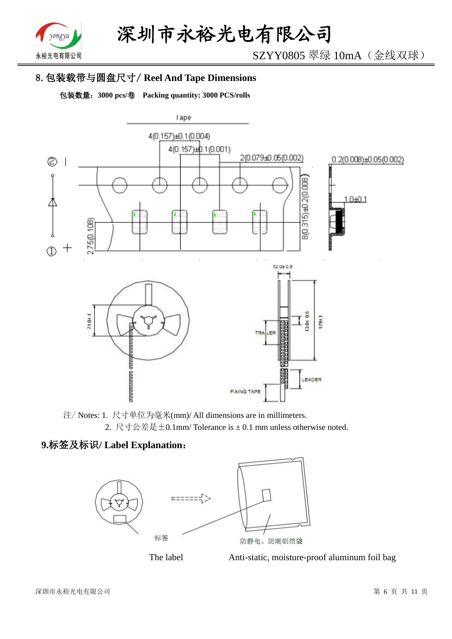

SZYY0805 翠绿 10mA(金线双球)

# 8.包装载带与圆盘尺寸/ **Reel And Tape Dimensions**

包装数量:**3000 pcs/**卷 **Packing quantity: 3000 PCS/rolls**



注/ Notes: 1. 尺寸单位为毫米(mm)/ All dimensions are in millimeters. 2. 尺寸公差是±0.1mm/ Tolerance is ± 0.1 mm unless otherwise noted.

# **9.**标签及标识**/ Label Explanation**:





The label Anti-static, moisture-proof aluminum foil bag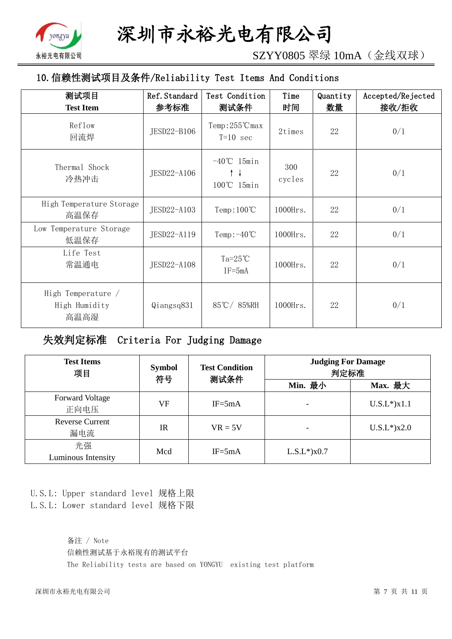

SZYY0805 翠绿 10mA(金线双球)

# 10.信赖性测试项目及条件/Reliability Test Items And Conditions

| 测试项目<br><b>Test Item</b>                    | Ref. Standard<br>参考标准 | Test Condition<br>测试条件                     | Time<br>时间    | Quantity<br>数量 | Accepted/Rejected<br>接收/拒收 |
|---------------------------------------------|-----------------------|--------------------------------------------|---------------|----------------|----------------------------|
| Reflow<br>回流焊                               | JESD22-B106           | $Temp:255^{\circ}C$ max<br>$T=10$ sec      | 2times        | 22             | 0/1                        |
| Thermal Shock<br>冷热冲击                       | JESD22-A106           | $-40^{\circ}$ C 15min<br>↑↓<br>100°C 15min | 300<br>cycles | 22             | 0/1                        |
| High Temperature Storage<br>高温保存            | JESD22-A103           | $Temp:100^{\circ}C$                        | $1000$ Hrs.   | 22             | 0/1                        |
| Low Temperature Storage<br>低温保存             | JESD22-A119           | Temp: $-40^{\circ}$ C                      | 1000Hrs.      | 22             | 0/1                        |
| Life Test<br>常温通电                           | JESD22-A108           | $Ta=25^{\circ}C$<br>$IF = 5mA$             | 1000Hrs.      | 22             | 0/1                        |
| High Temperature /<br>High Humidity<br>高温高湿 | Qiangsq831            | 85℃/85%RH                                  | 1000Hrs.      | 22             | 0/1                        |

失效判定标准 Criteria For Judging Damage

| <b>Test Items</b><br>项目        | <b>Symbol</b><br>符号 | <b>Test Condition</b><br>测试条件 | <b>Judging For Damage</b><br>判定标准 |                   |  |
|--------------------------------|---------------------|-------------------------------|-----------------------------------|-------------------|--|
|                                |                     |                               | Min. 最小                           | Max. 最大           |  |
| <b>Forward Voltage</b><br>正向电压 | VF                  | $IF = 5mA$                    |                                   | $U.S.L*$ ) $x1.1$ |  |
| <b>Reverse Current</b><br>漏电流  | <b>IR</b>           | $VR = 5V$                     |                                   | $U.S.L*$ )x2.0    |  |
| 光强<br>Luminous Intensity       | Mcd                 | $IF = 5mA$                    | $L.S.L*$ ) $x0.7$                 |                   |  |

U.S.L: Upper standard level 规格上限 L.S.L: Lower standard level 规格下限

> 备注 / Note 信赖性测试基于永裕现有的测试平台 The Reliability tests are based on YONGYU existing test platform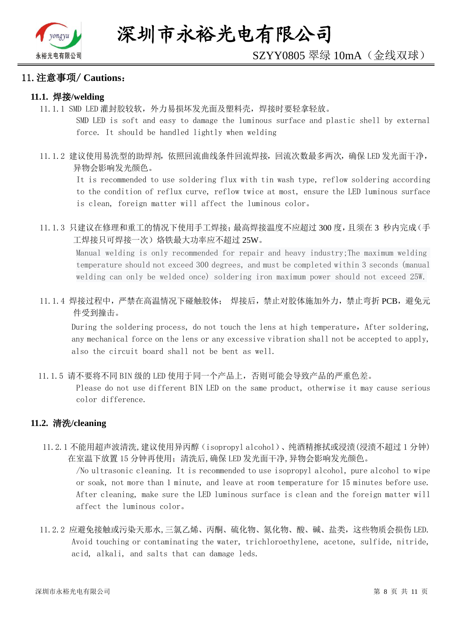

#### 11.注意事项/ **Cautions**:

#### **11.1.** 焊接**/welding**

11.1.1 SMD LED 灌封胶较软,外力易损坏发光面及塑料壳,焊接时要轻拿轻放。

SMD LED is soft and easy to damage the luminous surface and plastic shell by external force. It should be handled lightly when welding

11.1.2 建议使用易洗型的助焊剂,依照回流曲线条件回流焊接,回流次数最多两次,确保 LED 发光面干净, 异物会影响发光颜色。

It is recommended to use soldering flux with tin wash type, reflow soldering according to the condition of reflux curve, reflow twice at most, ensure the LED luminous surface is clean, foreign matter will affect the luminous color。

11.1.3 只建议在修理和重工的情况下使用手工焊接;最高焊接温度不应超过 300 度,且须在 3 秒内完成(手 工焊接只可焊接一次)烙铁最大功率应不超过 25W。

Manual welding is only recommended for repair and heavy industry;The maximum welding temperature should not exceed 300 degrees, and must be completed within 3 seconds (manual welding can only be welded once) soldering iron maximum power should not exceed 25W.

11.1.4 焊接过程中,严禁在高温情况下碰触胶体; 焊接后,禁止对胶体施加外力,禁止弯折 PCB,避免元 件受到撞击。

During the soldering process, do not touch the lens at high temperature, After soldering, any mechanical force on the lens or any excessive vibration shall not be accepted to apply, also the circuit board shall not be bent as well.

11.1.5 请不要将不同 BIN 级的 LED 使用于同一个产品上,否则可能会导致产品的严重色差。

Please do not use different BIN LED on the same product, otherwise it may cause serious color difference.

#### **11.2.** 清洗**/cleaning**

11.2.1 不能用超声波清洗,建议使用异丙醇(isopropyl alcohol)、纯酒精擦拭或浸渍(浸渍不超过 1 分钟) 在室温下放置 15 分钟再使用;清洗后,确保 LED 发光面干净,异物会影响发光颜色。

/No ultrasonic cleaning. It is recommended to use isopropyl alcohol, pure alcohol to wipe or soak, not more than 1 minute, and leave at room temperature for 15 minutes before use. After cleaning, make sure the LED luminous surface is clean and the foreign matter will affect the luminous color。

11.2.2 应避免接触或污染天那水,三氯乙烯、丙酮、硫化物、氮化物、酸、碱、盐类,这些物质会损伤 LED. Avoid touching or contaminating the water, trichloroethylene, acetone, sulfide, nitride, acid, alkali, and salts that can damage leds.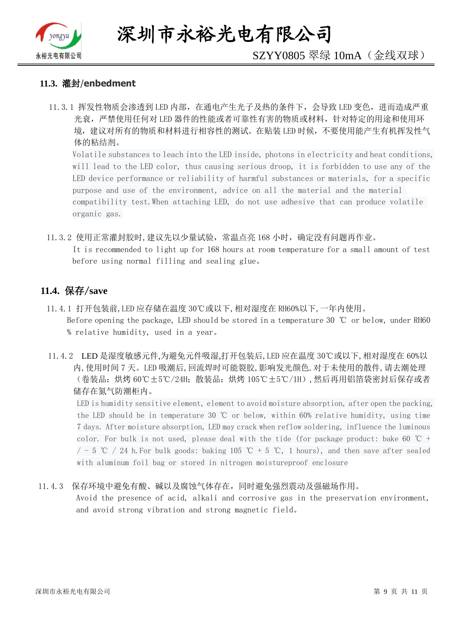

深圳市永裕光电有限公司

# SZYY0805 翠绿 10mA(金线双球)

#### **11.3.** 灌封/**enbedment**

11.3.1 挥发性物质会渗透到 LED 内部, 在通电产生光子及热的条件下, 会导致 LED 变色, 进而造成严重 光衰,严禁使用任何对 LED 器件的性能或者可靠性有害的物质或材料,针对特定的用途和使用环 境,建议对所有的物质和材料进行相容性的测试。在贴装 LED 时候,不要使用能产生有机挥发性气 体的粘结剂。

Volatile substances to leach into the LED inside, photons in electricity and heat conditions, will lead to the LED color, thus causing serious droop, it is forbidden to use any of the LED device performance or reliability of harmful substances or materials, for a specific purpose and use of the environment, advice on all the material and the material compatibility test.When attaching LED, do not use adhesive that can produce volatile organic gas.

11.3.2 使用正常灌封胶时,建议先以少量试验,常温点亮 168 小时,确定没有问题再作业。 It is recommended to light up for 168 hours at room temperature for a small amount of test before using normal filling and sealing glue。

#### **11.4.** 保存/**save**

- 11.4.1 打开包装前,LED 应存储在温度 30℃或以下,相对湿度在 RH60%以下,一年内使用。 Before opening the package, LED should be stored in a temperature 30 ℃ or below, under RH60 % relative humidity, used in a year。
- 11.4.2 LED 是湿度敏感元件,为避免元件吸湿,打开包装后,LED 应在温度 30℃或以下,相对湿度在 60%以 内,使用时间 7 天。LED 吸潮后,回流焊时可能裂胶,影响发光颜色.对于未使用的散件,请去潮处理 (卷装品:烘烤 60℃±5℃/24H;散装品:烘烤 105℃±5℃/1H),然后再用铝箔袋密封后保存或者 储存在氮气防潮柜内。

LED is humidity sensitive element, element to avoid moisture absorption, after open the packing, the LED should be in temperature 30 ℃ or below, within 60% relative humidity, using time 7 days. After moisture absorption, LED may crack when reflow soldering, influence the luminous color. For bulk is not used, please deal with the tide (for package product: bake 60  $\degree$ C +  $/$  - 5 ℃ / 24 h. For bulk goods: baking 105 ℃ + 5 ℃, 1 hours), and then save after sealed with aluminum foil bag or stored in nitrogen moistureproof enclosure

#### 11.4.3 保存环境中避免有酸、碱以及腐蚀气体存在,同时避免强烈震动及强磁场作用。

Avoid the presence of acid, alkali and corrosive gas in the preservation environment, and avoid strong vibration and strong magnetic field。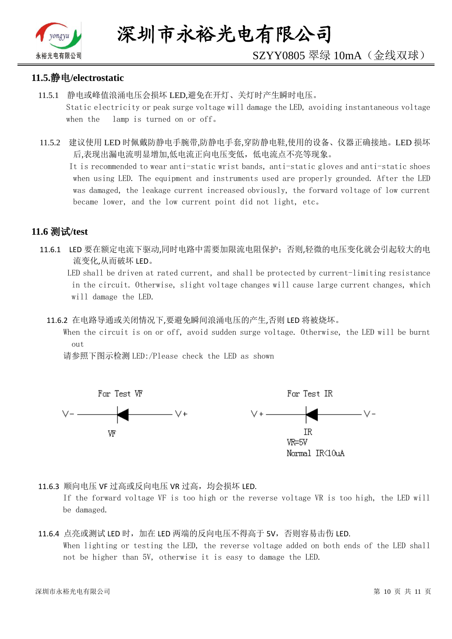

# SZYY0805 翠绿 10mA(金线双球)

#### **11.5.**静电**/electrostatic**

- 11.5.1 静电或峰值浪涌电压会损坏 LED,避免在开灯、关灯时产生瞬时电压。 Static electricity or peak surge voltage will damage the LED, avoiding instantaneous voltage when the lamp is turned on or off。
- 11.5.2 建议使用 LED 时佩戴防静电手腕带,防静电手套,穿防静电鞋,使用的设备、仪器正确接地。LED 损坏 后,表现出漏电流明显增加,低电流正向电压变低,低电流点不亮等现象。

 It is recommended to wear anti-static wrist bands, anti-static gloves and anti-static shoes when using LED. The equipment and instruments used are properly grounded. After the LED was damaged, the leakage current increased obviously, the forward voltage of low current became lower, and the low current point did not light, etc。

# **11.6** 测试**/test**

11.6.1 LED 要在额定电流下驱动,同时电路中需要加限流电阻保护;否则,轻微的电压变化就会引起较大的电 流变化,从而破坏 LED。

 LED shall be driven at rated current, and shall be protected by current-limiting resistance in the circuit. Otherwise, slight voltage changes will cause large current changes, which will damage the LED.

11.6.2 在电路导通或关闭情况下,要避免瞬间浪涌电压的产生,否则 LED 将被烧坏。

 When the circuit is on or off, avoid sudden surge voltage. Otherwise, the LED will be burnt out

请参照下图示检测 LED:/Please check the LED as shown



11.6.3 顺向电压 VF 过高或反向电压 VR 过高, 均会损坏 LED.

If the forward voltage VF is too high or the reverse voltage VR is too high, the LED will be damaged.

#### 11.6.4 点亮或测试 LED 时,加在 LED 两端的反向电压不得高于 5V,否则容易击伤 LED. When lighting or testing the LED, the reverse voltage added on both ends of the LED shall not be higher than 5V, otherwise it is easy to damage the LED.